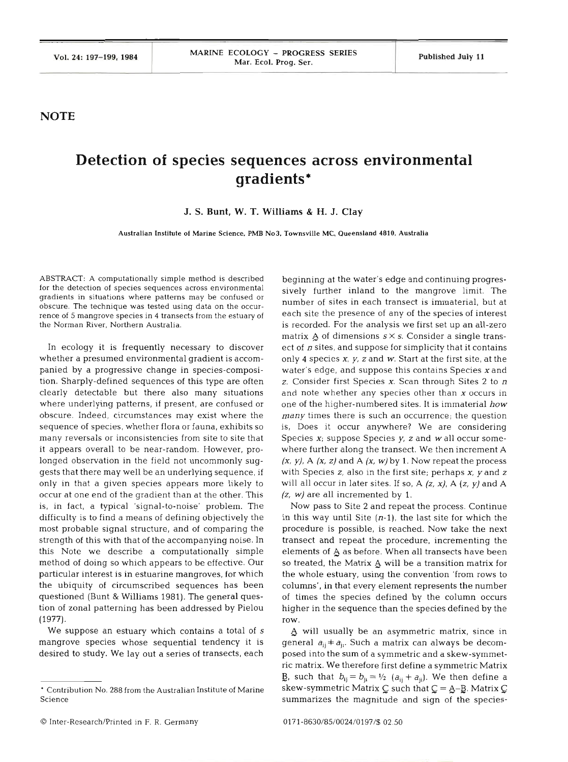**NOTE** 

## **Detection of species sequences across environmental gradients\***

**J. S. Bunt. W. T. Williams** & **H. J. Clay** 

**Australian Institute of Marine Science. PMB No3, Townsville MC, Queensland 4810. Australia** 

ABSTRACT: A computationally simple method is described for the detection of species sequences across environmental gradients in situations where patterns may be confused or obscure. The technique was tested using data on the occurrence of 5 mangrove species in 4 transects from the estuary of the Norman River, Northern Australia.

In ecology it is frequently necessary to discover whether a presumed environmental gradient is accompanied by a progressive change in species-composition. Sharply-defined sequences of this type are often clearly detectable but there also many situations where underlying patterns, if present, are confused or obscure. Indeed, circumstances may exist where the sequence of species, whether flora or fauna, exhibits so many reversals or inconsistencies from site to site that it appears overall to be near-random. However, prolonged observation in the field not uncommonly suggests that there may well be an underlying sequence, if only in that a given species appears more likely to occur at one end of the gradient than at the other. This is, in fact, a typical 'signal-to-noise' problem. The difficulty is to find a means of defining objectively the most probable signal structure, and of comparing the strength of this with that of the accompanying noise. In this Note we describe a computationally simple method of doing so which appears to be effective. Our particular interest is in estuarine mangroves, for which the ubiquity of circumscribed sequences has been questioned (Bunt & Williams 1981). The general question of zonal patterning has been addressed by Pielou (1977).

We suppose an estuary which contains a total of **<sup>s</sup>** mangrove species whose sequential tendency it is desired to study. We lay out a series of transects, each

beginning at the water's edge and continuing progressively further inland to the mangrove limit. The number of sites in each transect is immaterial, but at each site the presence of any of the species of interest is recorded. For the analysis we first set up an all-zero matrix  $\overline{A}$  of dimensions  $s \times s$ . Consider a single transect of  $n$  sites, and suppose for simplicity that it contains only 4 species **X,** *y,* z and *W.* Start at the first site, at the water's edge, and suppose this contains Species **X** and z. Consider first Species **X.** Scan through Sites **2** to *<sup>n</sup>* and note whether any species other than **X** occurs in one of the higher-numbered sites. It is immaterial **how**  *many* times there is such an occurrence; the question is, Does it occur anywhere? We are considering Species **X;** suppose Species y, z and *W* all occur somewhere further along the transect. We then increment **<sup>A</sup>**  $(x, y)$ , A  $(x, z)$  and A  $(x, w)$  by 1. Now repeat the process with Species *z,* also in the first site; perhaps **X,** *y* and *<sup>z</sup>* will all occur in later sites. If so, A (z, **X),** A **(2,** *y)* and *<sup>A</sup>* (z, *W)* are all incremented by 1.

Now pass to Site 2 and repeat the process. Continue in this way until Site *(n-l),* the last site for which the procedure is possible, is reached. Now take the next transect and repeat the procedure, incrementing the elements of A as before. When all transects have been so treated, the Matrix  $A$  will be a transition matrix for the whole estuary, using the convention 'from rows to columns', in that every element represents the number of times the species defined by the column occurs higher in the sequence than the species defined by the row.

4 will usually be an asymmetric matrix, since in general  $a_{ij}$   $\neq$   $a_{ji}$ . Such a matrix can always be decomposed into the sum of a symmetric and a skew-symmetric matrix. We therefore first define a symmetric Matrix **B**, such that  $b_{ij} = b_{ji} = \frac{1}{2}$   $(a_{ij} + a_{ji})$ . We then define a skew-symmetric Matrix  $C$  such that  $C = A-B$ . Matrix  $C$ summarizes the magnitude and sign of the species-

Contribution No. **288** from the Australian Institute of Marine Science

O Inter-Research/Printed in F. R. Germany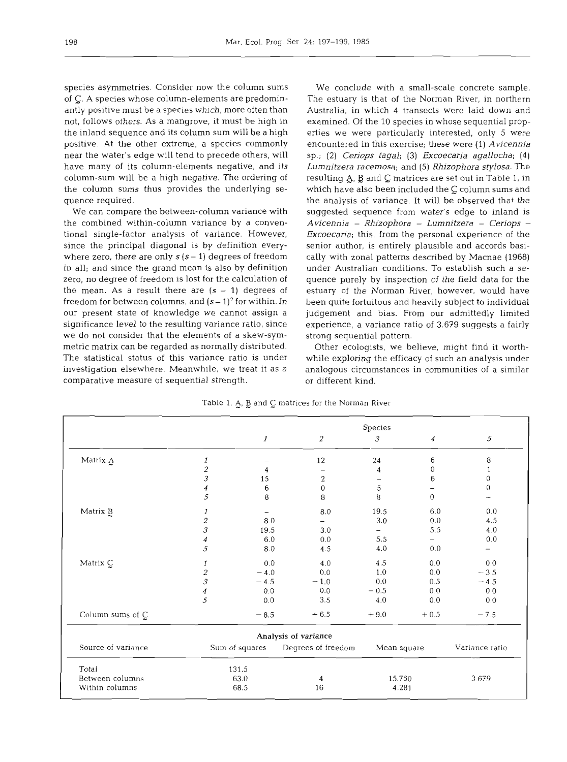species asymmetries. Consider now the column sums of C. A species whose column-elements are predominantly positive must be a species which, more often than not, follows others. As a mangrove, it must be high in the inland sequence and its column sum will be a high positive. At the other extreme, a species commonly near the water's edge will tend to precede others, will have many of its column-elements negative, and its column-sum will be a high negative. The ordering of the column sums thus provides the underlying sequence required.

We can compare the between-column variance with the combined within-column variance by a conventional single-factor analysis of variance. However, since the principal diagonal is by definition everywhere zero, there are only  $s(s-1)$  degrees of freedom in all; and since the grand mean is also by definition zero, no degree of freedom is lost for the calculation of the mean. As a result there are  $(s - 1)$  degrees of freedom for between columns, and  $(s-1)^2$  for within. In our present state of knowledge we cannot assign a significance level to the resulting variance ratio, since we do not consider that the elements of a skew-symmetric matrix can be regarded as normally distributed. The statistical status of this variance ratio is under investigation elsewhere. Meanwhile, we treat it as a comparative measure of sequential strength.

We conclude with a small-scale concrete sample. The estuary is that of the Norman River, in northern Australia, in which 4 transects were laid down and examined. Of the 10 species in whose sequential properties we were particularly interested, only 5 were encountered in this exercise; these were *(1) Avicennia*  sp.; **(2)** *Ceriops tagal;* **(3)** *Excoecaria agallocha; (4) Lurnnitzera racernosa;* and **(5)** *Rhizophora stylosa.* The resulting A, **B** and matrices are set out in Table *1,* in which have also been included the  $C$  column sums and the analysis of variance. It will be observed that the suggested sequence from water's edge to inland is *Avicennia* - *Rhizophora* - *Lurnnitzera* - *Ceriops* - *Excoecaria;* this, from the personal experience of the senior author, is entirely plausible and accords basically with zonal patterns described by Macnae *(1968)*  under Australian conditions. To establish such a sequence purely by inspection of the field data for the estuary of the Norman River, however, would have been quite fortuitous and heavily subject to individual judgement and bias. From our admittedly limited experience, a variance ratio of 3.679 suggests a fairly strong sequential pattern.

Other ecologists, we believe, might find it worthwhile exploring the efficacy of such an analysis under analogous circumstances in communities of a similar or different kind.

|  |  |  | Table 1. A, B and C matrices for the Norman River |  |  |  |
|--|--|--|---------------------------------------------------|--|--|--|
|  |  |  |                                                   |  |  |  |

|                    |                          | Species        |                      |                          |                  |                   |  |  |
|--------------------|--------------------------|----------------|----------------------|--------------------------|------------------|-------------------|--|--|
|                    |                          | $\mathbf{1}$   | $\overline{2}$       | 3                        | $\boldsymbol{4}$ | 5                 |  |  |
| Matrix A           | 1                        |                | 12                   | 24                       | 6                | 8                 |  |  |
|                    | $\overline{\mathcal{L}}$ | 4              |                      | 4                        | $\Omega$         | 1                 |  |  |
|                    | 3                        | 15             | $\sqrt{2}$           |                          | 6                | $\theta$          |  |  |
|                    | 4                        | 6              | $\overline{0}$       | 5                        |                  | $\overline{0}$    |  |  |
|                    | 5                        | 8              | 8                    | 8                        | $\overline{0}$   |                   |  |  |
| Matrix B           | 1                        |                | 8.0                  | 19.5                     | 6.0              | 0.0               |  |  |
|                    | $\overline{c}$           | 8.0            |                      | $3.0\,$                  | 0.0              | 4.5               |  |  |
|                    | 3                        | 19.5           | 3.0                  | $\overline{\phantom{0}}$ | 5.5              | 4.0               |  |  |
|                    | 4                        | 6.0            | 0.0                  | 5.5                      |                  | 0.0               |  |  |
|                    | 5                        | 8.0            | 4.5                  | 4.0                      | 0.0              | $\qquad \qquad -$ |  |  |
| Matrix C           | 1                        | 0.0            | 4.0                  | 4.5                      | 0.0              | 0.0               |  |  |
|                    | 2                        | $-4.0$         | 0.0                  | 1.0                      | 0.0              | $-3.5$            |  |  |
|                    | 3                        | $-4.5$         | $-1.0$               | 0.0                      | 0.5              | $-4.5$            |  |  |
|                    | 4                        | 0.0            | 0.0                  | $-0.5$                   | 0.0              | 0.0               |  |  |
|                    | 5                        | 0.0            | 3.5                  | 4.0                      | 0.0              | 0.0               |  |  |
| Column sums of C   |                          | $-8.5$         | $+6.5$               | $+9.0$                   | $+0.5$           | $-7.5$            |  |  |
|                    |                          |                | Analysis of variance |                          |                  |                   |  |  |
| Source of variance |                          | Sum of squares | Degrees of freedom   | Mean square              |                  | Variance ratio    |  |  |
| Total              | 131.5                    |                |                      |                          |                  |                   |  |  |
| Between columns    |                          | 63.0           | 4                    | 15.750                   |                  | 3.679             |  |  |
| Within columns     | 68.5                     |                | 16                   | 4.281                    |                  |                   |  |  |